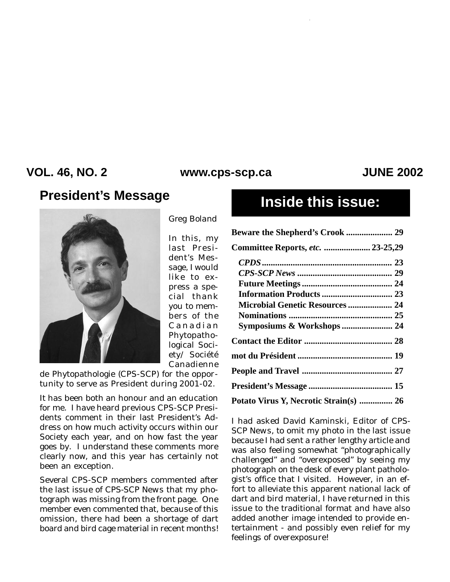### **VOL. 46, NO. 2 JUNE 2002 www.cps-scp.ca**

# **President's Message Inside this issue:**



*Greg Boland*

In this, my last President's Message, I would like to express a special thank you to members of the Canadian Phytopathological Society/ Société Canadienne

de Phytopathologie (CPS-SCP) for the opportunity to serve as President during 2001-02.

It has been both an honour and an education for me. I have heard previous CPS-SCP Presidents comment in their last President's Address on how much activity occurs within our Society each year, and on how fast the year goes by. I understand these comments more clearly now, and this year has certainly not been an exception.

Several CPS-SCP members commented after the last issue of *CPS-SCP News* that my photograph was missing from the front page. One member even commented that, because of this omission, there had been a shortage of dart board and bird cage material in recent months!

| Committee Reports, etc.  23-25,29      |
|----------------------------------------|
|                                        |
|                                        |
|                                        |
|                                        |
| <b>Microbial Genetic Resources  24</b> |
|                                        |
| Symposiums & Workshops 24              |
|                                        |
|                                        |
|                                        |
|                                        |
| Potato Virus Y, Necrotic Strain(s)  26 |

I had asked David Kaminski, Editor of *CPS-SCP News,* to omit my photo in the last issue because I had sent a rather lengthy article and was also feeling somewhat "photographically challenged" and "overexposed" by seeing my photograph on the desk of every plant pathologist's office that I visited. However, in an effort to alleviate this apparent national lack of dart and bird material, I have returned in this issue to the traditional format and have also added another image intended to provide entertainment - and possibly even relief for my feelings of overexposure!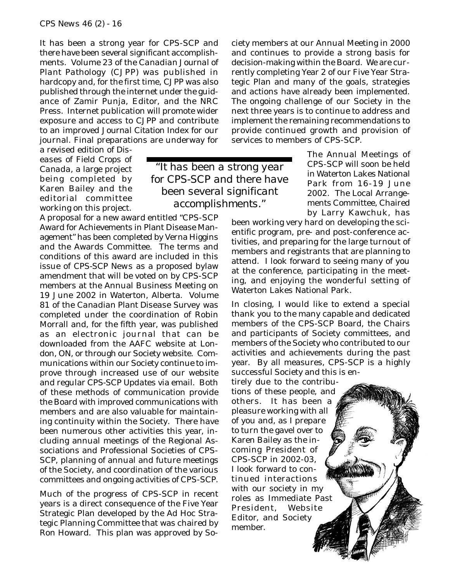It has been a strong year for CPS-SCP and there have been several significant accomplishments. Volume 23 of the *Canadian Journal of Plant Pathology* (CJPP) was published in hardcopy and, for the first time, *CJPP* was also published through the internet under the guidance of Zamir Punja, Editor, and the NRC Press. Internet publication will promote wider exposure and access to *CJPP* and contribute to an improved *Journal Citation Index* for our journal. Final preparations are underway for

> *"It has been a strong year for CPS-SCP and there have been several significant accomplishments."*

a revised edition of *Diseases of Field Crops of Canada*, a large project being completed by Karen Bailey and the editorial committee working on this project.

A proposal for a new award entitled "CPS-SCP Award for Achievements in Plant Disease Management" has been completed by Verna Higgins and the Awards Committee. The terms and conditions of this award are included in this issue of *CPS-SCP News* as a proposed bylaw amendment that will be voted on by CPS-SCP members at the Annual Business Meeting on 19 June 2002 in Waterton, Alberta. Volume 81 of the *Canadian Plant Disease Survey* was completed under the coordination of Robin Morrall and, for the fifth year, was published as an electronic journal that can be downloaded from the AAFC website at London, ON, or through our Society website. Communications within our Society continue to improve through increased use of our website and regular *CPS-SCP Updates* via email. Both of these methods of communication provide the Board with improved communications with members and are also valuable for maintaining continuity within the Society. There have been numerous other activities this year, including annual meetings of the Regional Associations and Professional Societies of CPS-SCP, planning of annual and future meetings of the Society, and coordination of the various committees and ongoing activities of CPS-SCP.

Much of the progress of CPS-SCP in recent years is a direct consequence of the Five Year Strategic Plan developed by the Ad Hoc Strategic Planning Committee that was chaired by Ron Howard. This plan was approved by Society members at our Annual Meeting in 2000 and continues to provide a strong basis for decision-making within the Board. We are currently completing Year 2 of our Five Year Strategic Plan and many of the goals, strategies and actions have already been implemented. The ongoing challenge of our Society in the next three years is to continue to address and implement the remaining recommendations to provide continued growth and provision of services to members of CPS-SCP.

> The Annual Meetings of CPS-SCP will soon be held in Waterton Lakes National Park from 16-19 June 2002. The Local Arrangements Committee, Chaired by Larry Kawchuk, has

been working very hard on developing the scientific program, pre- and post-conference activities, and preparing for the large turnout of members and registrants that are planning to attend. I look forward to seeing many of you at the conference, participating in the meeting, and enjoying the wonderful setting of Waterton Lakes National Park.

In closing, I would like to extend a special thank you to the many capable and dedicated members of the CPS-SCP Board, the Chairs and participants of Society committees, and members of the Society who contributed to our activities and achievements during the past year. By all measures, CPS-SCP is a highly successful Society and this is en-

tirely due to the contributions of these people, and others. It has been a pleasure working with all of you and, as I prepare to turn the gavel over to Karen Bailey as the incoming President of CPS-SCP in 2002-03, I look forward to continued interactions with our society in my roles as Immediate Past President, Website Editor, and Society member.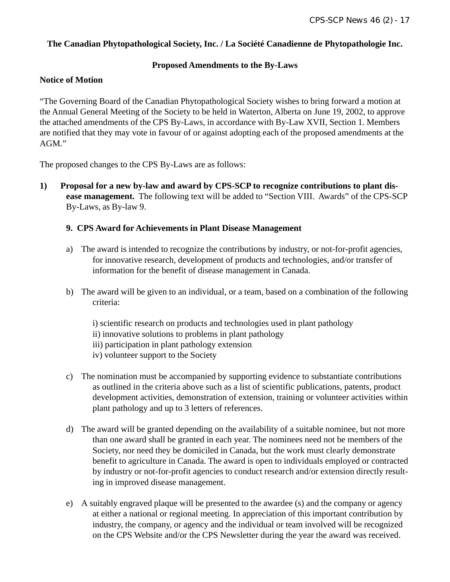### **The Canadian Phytopathological Society, Inc. / La Société Canadienne de Phytopathologie Inc.**

#### **Proposed Amendments to the By-Laws**

#### **Notice of Motion**

"The Governing Board of the Canadian Phytopathological Society wishes to bring forward a motion at the Annual General Meeting of the Society to be held in Waterton, Alberta on June 19, 2002, to approve the attached amendments of the CPS By-Laws, in accordance with By-Law XVII, Section 1. Members are notified that they may vote in favour of or against adopting each of the proposed amendments at the AGM."

The proposed changes to the CPS By-Laws are as follows:

**1) Proposal for a new by-law and award by CPS-SCP to recognize contributions to plant disease management.** The following text will be added to "Section VIII. Awards" of the CPS-SCP By-Laws, as By-law 9.

#### **9. CPS Award for Achievements in Plant Disease Management**

- a) The award is intended to recognize the contributions by industry, or not-for-profit agencies, for innovative research, development of products and technologies, and/or transfer of information for the benefit of disease management in Canada.
- b) The award will be given to an individual, or a team, based on a combination of the following criteria:
	- i) scientific research on products and technologies used in plant pathology
	- ii) innovative solutions to problems in plant pathology
	- iii) participation in plant pathology extension
	- iv) volunteer support to the Society
- c) The nomination must be accompanied by supporting evidence to substantiate contributions as outlined in the criteria above such as a list of scientific publications, patents, product development activities, demonstration of extension, training or volunteer activities within plant pathology and up to 3 letters of references.
- d) The award will be granted depending on the availability of a suitable nominee, but not more than one award shall be granted in each year. The nominees need not be members of the Society, nor need they be domiciled in Canada, but the work must clearly demonstrate benefit to agriculture in Canada. The award is open to individuals employed or contracted by industry or not-for-profit agencies to conduct research and/or extension directly resulting in improved disease management.
- e) A suitably engraved plaque will be presented to the awardee (s) and the company or agency at either a national or regional meeting. In appreciation of this important contribution by industry, the company, or agency and the individual or team involved will be recognized on the CPS Website and/or the CPS Newsletter during the year the award was received.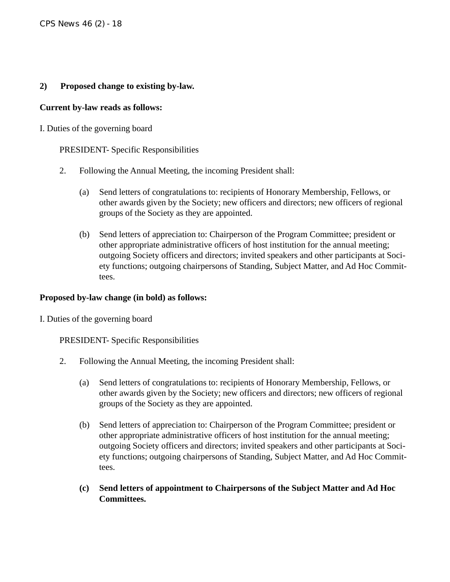### **2) Proposed change to existing by-law.**

#### **Current by-law reads as follows:**

#### I. Duties of the governing board

### PRESIDENT- Specific Responsibilities

- 2. Following the Annual Meeting, the incoming President shall:
	- (a) Send letters of congratulations to: recipients of Honorary Membership, Fellows, or other awards given by the Society; new officers and directors; new officers of regional groups of the Society as they are appointed.
	- (b) Send letters of appreciation to: Chairperson of the Program Committee; president or other appropriate administrative officers of host institution for the annual meeting; outgoing Society officers and directors; invited speakers and other participants at Society functions; outgoing chairpersons of Standing, Subject Matter, and Ad Hoc Committees.

#### **Proposed by-law change (in bold) as follows:**

I. Duties of the governing board

PRESIDENT- Specific Responsibilities

- 2. Following the Annual Meeting, the incoming President shall:
	- (a) Send letters of congratulations to: recipients of Honorary Membership, Fellows, or other awards given by the Society; new officers and directors; new officers of regional groups of the Society as they are appointed.
	- (b) Send letters of appreciation to: Chairperson of the Program Committee; president or other appropriate administrative officers of host institution for the annual meeting; outgoing Society officers and directors; invited speakers and other participants at Society functions; outgoing chairpersons of Standing, Subject Matter, and Ad Hoc Committees.
	- **(c) Send letters of appointment to Chairpersons of the Subject Matter and Ad Hoc Committees.**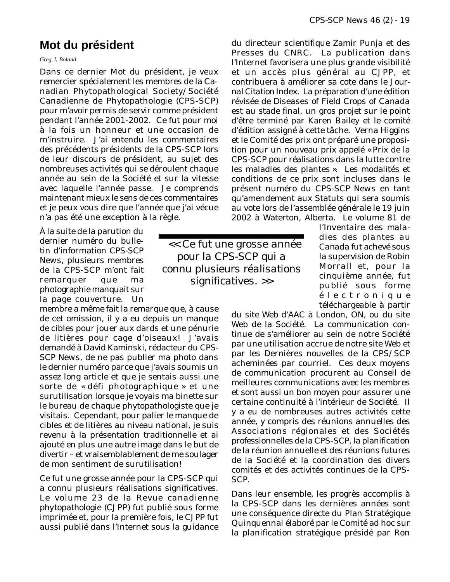### **Mot du président**

*Greg J. Boland*

Dans ce dernier Mot du président, je veux remercier spécialement les membres de la Canadian Phytopathological Society/Société Canadienne de Phytopathologie (CPS-SCP) pour m'avoir permis de servir comme président pendant l'année 2001-2002. Ce fut pour moi à la fois un honneur et une occasion de m'instruire. J'ai entendu les commentaires des précédents présidents de la CPS-SCP lors de leur discours de président, au sujet des nombreuses activités qui se déroulent chaque année au sein de la Société et sur la vitesse avec laquelle l'année passe. Je comprends maintenant mieux le sens de ces commentaires et je peux vous dire que l'année que j'ai vécue n'a pas été une exception à la règle.

À la suite de la parution du dernier numéro du bulletin d'information *CPS-SCP News*, plusieurs membres de la CPS-SCP m'ont fait remarquer que ma photographie manquait sur la page couverture. Un

membre a même fait la remarque que, à cause de cet omission, il y a eu depuis un manque de cibles pour jouer aux dards et une pénurie de litières pour cage d'oiseaux! J'avais demandé à David Kaminski, rédacteur du *CPS-SCP News,* de ne pas publier ma photo dans le dernier numéro parce que j'avais soumis un assez long article et que je sentais aussi une sorte de « défi photographique » et une surutilisation lorsque je voyais ma binette sur le bureau de chaque phytopathologiste que je visitais. Cependant, pour palier le manque de cibles et de litières au niveau national, je suis revenu à la présentation traditionnelle et ai ajouté en plus une autre image dans le but de divertir – et vraisemblablement de me soulager de mon sentiment de surutilisation!

Ce fut une grosse année pour la CPS-SCP qui a connu plusieurs réalisations significatives. Le volume 23 de la *Revue canadienne phytopathologie* (CJPP) fut publié sous forme imprimée et, pour la première fois, le *CJPP* fut aussi publié dans l'Internet sous la guidance

du directeur scientifique Zamir Punja et des Presses du CNRC. La publication dans l'Internet favorisera une plus grande visibilité et un accès plus général au *CJPP*, et contribuera à améliorer sa cote dans le *Journal Citation Index*. La préparation d'une édition révisée de *Diseases of Field Crops of Canada* est au stade final, un gros projet sur le point d'être terminé par Karen Bailey et le comité d'édition assigné à cette tâche. Verna Higgins et le Comité des prix ont préparé une proposition pour un nouveau prix appelé « Prix de la CPS-SCP pour réalisations dans la lutte contre les maladies des plantes ». Les modalités et conditions de ce prix sont incluses dans le présent numéro du *CPS-SCP News* en tant qu'amendement aux Statuts qui sera soumis au vote lors de l'assemblée générale le 19 juin 2002 à Waterton, Alberta. Le volume 81 de

 *<< Ce fut une grosse année pour la CPS-SCP qui a connu plusieurs réalisations significatives. >>*

l'*Inventaire des maladies des plantes au Canada* fut achevé sous la supervision de Robin Morrall et, pour la cinquième année, fut publié sous forme électronique téléchargeable à partir

du site Web d'AAC à London, ON, ou du site Web de la Société. La communication continue de s'améliorer au sein de notre Société par une utilisation accrue de notre site Web et par les *Dernières nouvelles de la CPS/SCP* acheminées par courriel. Ces deux moyens de communication procurent au Conseil de meilleures communications avec les membres et sont aussi un bon moyen pour assurer une certaine continuité à l'intérieur de Société. Il y a eu de nombreuses autres activités cette année, y compris des réunions annuelles des Associations régionales et des Sociétés professionnelles de la CPS-SCP, la planification de la réunion annuelle et des réunions futures de la Société et la coordination des divers comités et des activités continues de la CPS-SCP.

Dans leur ensemble, les progrès accomplis à la CPS-SCP dans les dernières années sont une conséquence directe du Plan Stratégique Quinquennal élaboré par le Comité ad hoc sur la planification stratégique présidé par Ron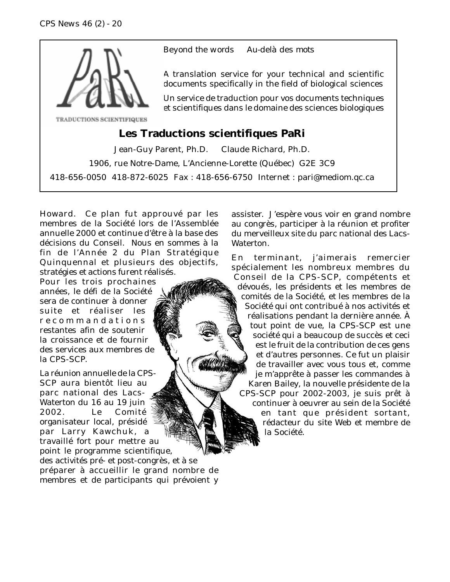

*Beyond the words Au-delà des mots*

A translation service for your technical and scientific documents specifically in the field of biological sciences

Un service de traduction pour vos documents techniques et scientifiques dans le domaine des sciences biologiques

### **Les Traductions scientifiques PaRi**

Jean-Guy Parent, Ph.D. Claude Richard, Ph.D. 1906, rue Notre-Dame, L'Ancienne-Lorette (Québec) G2E 3C9 418-656-0050 418-872-6025 Fax : 418-656-6750 Internet : pari@mediom.qc.ca

Howard. Ce plan fut approuvé par les membres de la Société lors de l'Assemblée annuelle 2000 et continue d'être à la base des décisions du Conseil. Nous en sommes à la fin de l'Année 2 du Plan Stratégique Quinquennal et plusieurs des objectifs, stratégies et actions furent réalisés.

Pour les trois prochaines années, le défi de la Société sera de continuer à donner suite et réaliser les recommandations restantes afin de soutenir la croissance et de fournir des services aux membres de la CPS-SCP.

La réunion annuelle de la CPS-SCP aura bientôt lieu au parc national des Lacs-Waterton du 16 au 19 juin 2002. Le Comité organisateur local, présidé par Larry Kawchuk, a travaillé fort pour mettre au point le programme scientifique, des activités pré- et post-congrès, et à se préparer à accueillir le grand nombre de membres et de participants qui prévoient y assister. J'espère vous voir en grand nombre au congrès, participer à la réunion et profiter du merveilleux site du parc national des Lacs-Waterton.

En terminant, j'aimerais remercier spécialement les nombreux membres du Conseil de la CPS-SCP, compétents et dévoués, les présidents et les membres de comités de la Société, et les membres de la Société qui ont contribué à nos activités et réalisations pendant la dernière année. À tout point de vue, la CPS-SCP est une société qui a beaucoup de succès et ceci est le fruit de la contribution de ces gens et d'autres personnes. Ce fut un plaisir de travailler avec vous tous et, comme je m'apprête à passer les commandes à Karen Bailey, la nouvelle présidente de la CPS-SCP pour 2002-2003, je suis prêt à continuer à oeuvrer au sein de la Société en tant que président sortant, rédacteur du site Web et membre de la Société.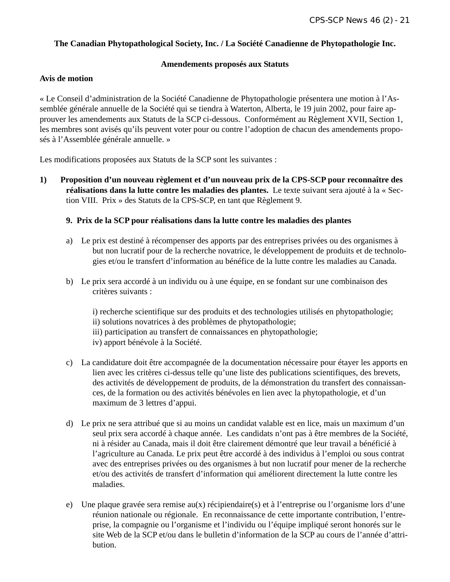#### **The Canadian Phytopathological Society, Inc. / La Société Canadienne de Phytopathologie Inc.**

#### **Amendements proposés aux Statuts**

#### **Avis de motion**

« Le Conseil d'administration de la Société Canadienne de Phytopathologie présentera une motion à l'Assemblée générale annuelle de la Société qui se tiendra à Waterton, Alberta, le 19 juin 2002, pour faire approuver les amendements aux Statuts de la SCP ci-dessous. Conformément au Règlement XVII, Section 1, les membres sont avisés qu'ils peuvent voter pour ou contre l'adoption de chacun des amendements proposés à l'Assemblée générale annuelle. »

Les modifications proposées aux Statuts de la SCP sont les suivantes :

**1) Proposition d'un nouveau règlement et d'un nouveau prix de la CPS-SCP pour reconnaître des réalisations dans la lutte contre les maladies des plantes.** Le texte suivant sera ajouté à la « Section VIII. Prix » des Statuts de la CPS-SCP, en tant que Règlement 9.

#### **9. Prix de la SCP pour réalisations dans la lutte contre les maladies des plantes**

- a) Le prix est destiné à récompenser des apports par des entreprises privées ou des organismes à but non lucratif pour de la recherche novatrice, le développement de produits et de technologies et/ou le transfert d'information au bénéfice de la lutte contre les maladies au Canada.
- b) Le prix sera accordé à un individu ou à une équipe, en se fondant sur une combinaison des critères suivants :
	- i) recherche scientifique sur des produits et des technologies utilisés en phytopathologie; ii) solutions novatrices à des problèmes de phytopathologie;
	- iii) participation au transfert de connaissances en phytopathologie;
	- iv) apport bénévole à la Société.
- c) La candidature doit être accompagnée de la documentation nécessaire pour étayer les apports en lien avec les critères ci-dessus telle qu'une liste des publications scientifiques, des brevets, des activités de développement de produits, de la démonstration du transfert des connaissances, de la formation ou des activités bénévoles en lien avec la phytopathologie, et d'un maximum de 3 lettres d'appui.
- d) Le prix ne sera attribué que si au moins un candidat valable est en lice, mais un maximum d'un seul prix sera accordé à chaque année. Les candidats n'ont pas à être membres de la Société, ni à résider au Canada, mais il doit être clairement démontré que leur travail a bénéficié à l'agriculture au Canada. Le prix peut être accordé à des individus à l'emploi ou sous contrat avec des entreprises privées ou des organismes à but non lucratif pour mener de la recherche et/ou des activités de transfert d'information qui améliorent directement la lutte contre les maladies.
- e) Une plaque gravée sera remise au(x) récipiendaire(s) et à l'entreprise ou l'organisme lors d'une réunion nationale ou régionale. En reconnaissance de cette importante contribution, l'entreprise, la compagnie ou l'organisme et l'individu ou l'équipe impliqué seront honorés sur le site Web de la SCP et/ou dans le bulletin d'information de la SCP au cours de l'année d'attribution.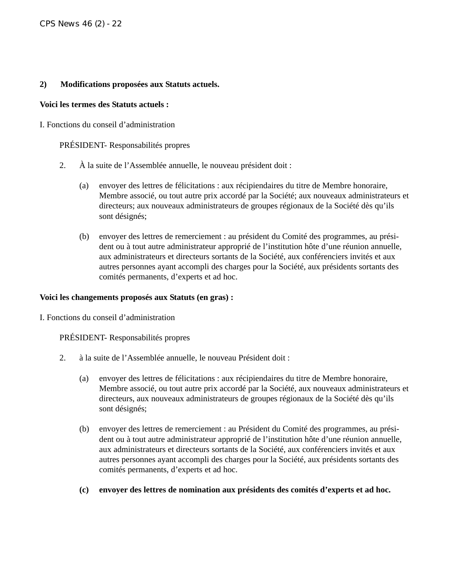#### **2) Modifications proposées aux Statuts actuels.**

#### **Voici les termes des Statuts actuels :**

I. Fonctions du conseil d'administration

PRÉSIDENT- Responsabilités propres

- 2. À la suite de l'Assemblée annuelle, le nouveau président doit :
	- (a) envoyer des lettres de félicitations : aux récipiendaires du titre de Membre honoraire, Membre associé, ou tout autre prix accordé par la Société; aux nouveaux administrateurs et directeurs; aux nouveaux administrateurs de groupes régionaux de la Société dès qu'ils sont désignés;
	- (b) envoyer des lettres de remerciement : au président du Comité des programmes, au président ou à tout autre administrateur approprié de l'institution hôte d'une réunion annuelle, aux administrateurs et directeurs sortants de la Société, aux conférenciers invités et aux autres personnes ayant accompli des charges pour la Société, aux présidents sortants des comités permanents, d'experts et ad hoc.

#### **Voici les changements proposés aux Statuts (en gras) :**

I. Fonctions du conseil d'administration

PRÉSIDENT- Responsabilités propres

- 2. à la suite de l'Assemblée annuelle, le nouveau Président doit :
	- (a) envoyer des lettres de félicitations : aux récipiendaires du titre de Membre honoraire, Membre associé, ou tout autre prix accordé par la Société, aux nouveaux administrateurs et directeurs, aux nouveaux administrateurs de groupes régionaux de la Société dès qu'ils sont désignés;
	- (b) envoyer des lettres de remerciement : au Président du Comité des programmes, au président ou à tout autre administrateur approprié de l'institution hôte d'une réunion annuelle, aux administrateurs et directeurs sortants de la Société, aux conférenciers invités et aux autres personnes ayant accompli des charges pour la Société, aux présidents sortants des comités permanents, d'experts et ad hoc.
	- **(c) envoyer des lettres de nomination aux présidents des comités d'experts et ad hoc.**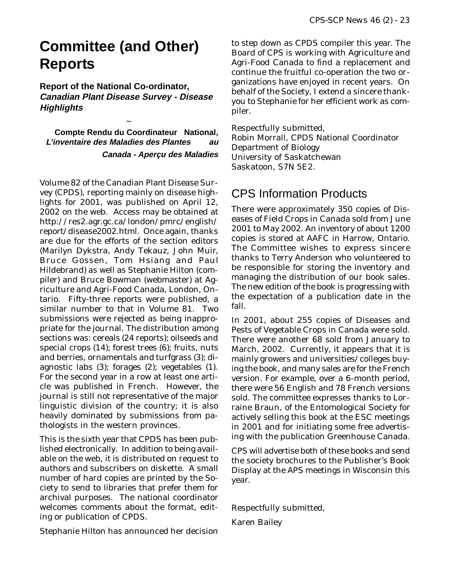# **Committee (and Other) Reports**

**Report of the National Co-ordinator, Canadian Plant Disease Survey - Disease Highlights**

 $\ddot{\phantom{0}}$ 

**Compte Rendu du Coordinateur National, L'inventaire des Maladies des Plantes au Canada - Aperçu des Maladies**

Volume 82 of the Canadian Plant Disease Survey (CPDS), reporting mainly on disease highlights for 2001, was published on April 12, 2002 on the web. Access may be obtained at http://res2.agr.gc.ca/london/pmrc/english/ report/disease2002.html. Once again, thanks are due for the efforts of the section editors (Marilyn Dykstra, Andy Tekauz, John Muir, Bruce Gossen, Tom Hsiang and Paul Hildebrand) as well as Stephanie Hilton (compiler) and Bruce Bowman (webmaster) at Agriculture and Agri-Food Canada, London, Ontario. Fifty-three reports were published, a similar number to that in Volume 81. Two submissions were rejected as being inappropriate for the journal. The distribution among sections was: cereals (24 reports); oilseeds and special crops (14); forest trees (6); fruits, nuts and berries, ornamentals and turfgrass (3); diagnostic labs (3); forages (2); vegetables (1). For the second year in a row at least one article was published in French. However, the journal is still not representative of the major linguistic division of the country; it is also heavily dominated by submissions from pathologists in the western provinces.

This is the sixth year that CPDS has been published electronically. In addition to being available on the web, it is distributed on request to authors and subscribers on diskette. A small number of hard copies are printed by the Society to send to libraries that prefer them for archival purposes. The national coordinator welcomes comments about the format, editing or publication of CPDS.

Stephanie Hilton has announced her decision

to step down as CPDS compiler this year. The Board of CPS is working with Agriculture and Agri-Food Canada to find a replacement and continue the fruitful co-operation the two organizations have enjoyed in recent years. On behalf of the Society, I extend a sincere thankyou to Stephanie for her efficient work as compiler.

Respectfully submitted, Robin Morrall, CPDS National Coordinator Department of Biology University of Saskatchewan Saskatoon, S7N 5E2.

## CPS Information Products

There were approximately 350 copies of Diseases of Field Crops in Canada sold from June 2001 to May 2002. An inventory of about 1200 copies is stored at AAFC in Harrow, Ontario. The Committee wishes to express sincere thanks to Terry Anderson who volunteered to be responsible for storing the inventory and managing the distribution of our book sales. The new edition of the book is progressing with the expectation of a publication date in the fall.

In 2001, about 255 copies of Diseases and Pests of Vegetable Crops in Canada were sold. There were another 68 sold from January to March, 2002. Currently, it appears that it is mainly growers and universities/colleges buying the book, and many sales are for the French version. For example, over a 6-month period, there were 56 English and 78 French versions sold. The committee expresses thanks to Lorraine Braun, of the Entomological Society for actively selling this book at the ESC meetings in 2001 and for initiating some free advertising with the publication Greenhouse Canada.

CPS will advertise both of these books and send the society brochures to the Publisher's Book Display at the APS meetings in Wisconsin this year.

Respectfully submitted,

Karen Bailey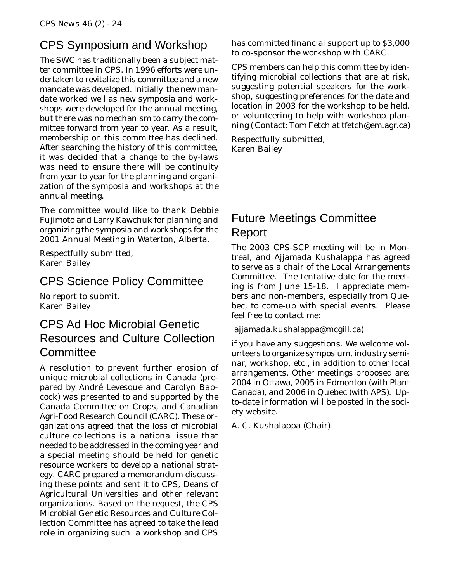# CPS Symposium and Workshop

The SWC has traditionally been a subject matter committee in CPS. In 1996 efforts were undertaken to revitalize this committee and a new mandate was developed. Initially the new mandate worked well as new symposia and workshops were developed for the annual meeting, but there was no mechanism to carry the committee forward from year to year. As a result, membership on this committee has declined. After searching the history of this committee, it was decided that a change to the by-laws was need to ensure there will be continuity from year to year for the planning and organization of the symposia and workshops at the annual meeting.

The committee would like to thank Debbie Fujimoto and Larry Kawchuk for planning and organizing the symposia and workshops for the 2001 Annual Meeting in Waterton, Alberta.

Respectfully submitted, Karen Bailey

### CPS Science Policy Committee

No report to submit. Karen Bailey

# CPS Ad Hoc Microbial Genetic Resources and Culture Collection **Committee**

A resolution to prevent further erosion of unique microbial collections in Canada (prepared by André Levesque and Carolyn Babcock) was presented to and supported by the Canada Committee on Crops, and Canadian Agri-Food Research Council (CARC). These organizations agreed that the loss of microbial culture collections is a national issue that needed to be addressed in the coming year and a special meeting should be held for genetic resource workers to develop a national strategy. CARC prepared a memorandum discussing these points and sent it to CPS, Deans of Agricultural Universities and other relevant organizations. Based on the request, the CPS Microbial Genetic Resources and Culture Collection Committee has agreed to take the lead role in organizing such a workshop and CPS

has committed financial support up to \$3,000 to co-sponsor the workshop with CARC.

CPS members can help this committee by identifying microbial collections that are at risk, suggesting potential speakers for the workshop, suggesting preferences for the date and location in 2003 for the workshop to be held, or volunteering to help with workshop planning ( Contact: Tom Fetch at tfetch@em.agr.ca)

Respectfully submitted, Karen Bailey

# Future Meetings Committee Report

The 2003 CPS-SCP meeting will be in Montreal, and Ajjamada Kushalappa has agreed to serve as a chair of the Local Arrangements Committee. The tentative date for the meeting is from June 15-18. I appreciate members and non-members, especially from Quebec, to come-up with special events. Please feel free to contact me:

### ajjamada.kushalappa@mcgill.ca)

if you have any suggestions. We welcome volunteers to organize symposium, industry seminar, workshop, etc., in addition to other local arrangements. Other meetings proposed are: 2004 in Ottawa, 2005 in Edmonton (with Plant Canada), and 2006 in Quebec (with APS). Upto-date information will be posted in the society website.

A. C. Kushalappa (Chair)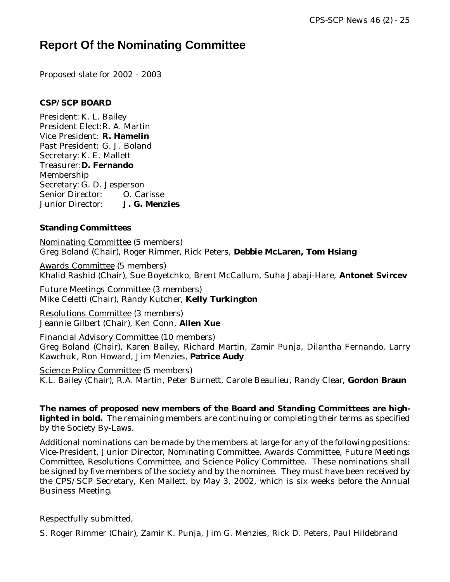# **Report Of the Nominating Committee**

Proposed slate for 2002 - 2003

#### **CSP/SCP BOARD**

President: K. L. Bailey President Elect:R. A. Martin Vice President: **R. Hamelin** Past President: G. J. Boland Secretary: K. E. Mallett Treasurer:**D. Fernando** Membership Secretary: G. D. Jesperson Senior Director: O. Carisse Junior Director: **J. G. Menzies**

### **Standing Committees**

Nominating Committee (5 members) Greg Boland (Chair), Roger Rimmer, Rick Peters, **Debbie McLaren, Tom Hsiang**

Awards Committee (5 members) Khalid Rashid (Chair), Sue Boyetchko, Brent McCallum, Suha Jabaji-Hare, **Antonet Svircev**

Future Meetings Committee (3 members) Mike Celetti (Chair), Randy Kutcher, **Kelly Turkington**

Resolutions Committee (3 members) Jeannie Gilbert (Chair), Ken Conn, **Allen Xue**

Financial Advisory Committee (10 members) Greg Boland (Chair), Karen Bailey, Richard Martin, Zamir Punja, Dilantha Fernando, Larry Kawchuk, Ron Howard, Jim Menzies, **Patrice Audy**

Science Policy Committee (5 members) K.L. Bailey (Chair), R.A. Martin, Peter Burnett, Carole Beaulieu, Randy Clear, **Gordon Braun**

**The names of proposed new members of the Board and Standing Committees are highlighted in bold.** The remaining members are continuing or completing their terms as specified by the Society By-Laws.

Additional nominations can be made by the members at large for any of the following positions: Vice-President, Junior Director, Nominating Committee, Awards Committee, Future Meetings Committee, Resolutions Committee, and Science Policy Committee. These nominations shall be signed by five members of the society and by the nominee. They must have been received by the CPS/SCP Secretary, Ken Mallett, by May 3, 2002, which is six weeks before the Annual Business Meeting.

Respectfully submitted,

S. Roger Rimmer (Chair), Zamir K. Punja, Jim G. Menzies, Rick D. Peters, Paul Hildebrand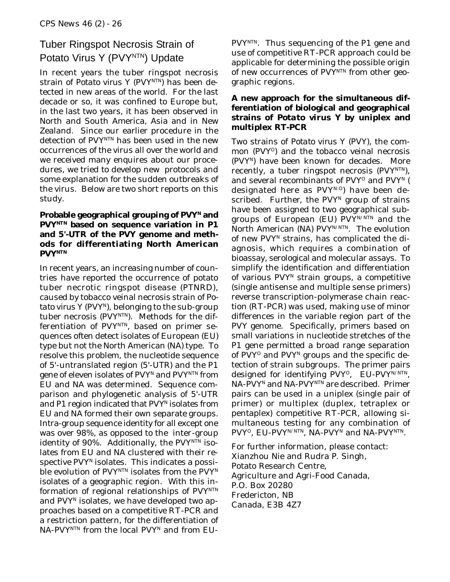## Tuber Ringspot Necrosis Strain of Potato Virus Y (PVYNTN) Update

In recent years the tuber ringspot necrosis strain of *Potato virus Y* (PVY<sup>NTN</sup>) has been detected in new areas of the world. For the last decade or so, it was confined to Europe but, in the last two years, it has been observed in North and South America, Asia and in New Zealand. Since our earlier procedure in the detection of PVYNTN has been used in the new occurrences of the virus all over the world and we received many enquires about our procedures, we tried to develop new protocols and some explanation for the sudden outbreaks of the virus. Below are two short reports on this study.

#### Probable geographical grouping of PVY<sup>N</sup> and **PVYNTN based on sequence variation in P1 and 5'-UTR of the PVY genome and methods for differentiating North American PVYNTN**

In recent years, an increasing number of countries have reported the occurrence of potato tuber necrotic ringspot disease (PTNRD), caused by tobacco veinal necrosis strain of *Po*tato virus Y (PVY<sup>N</sup>), belonging to the sub-group tuber necrosis (PVYNTN). Methods for the differentiation of PVYNTN, based on primer sequences often detect isolates of European (EU) type but not the North American (NA) type. To resolve this problem, the nucleotide sequence of 5'-untranslated region (5'-UTR) and the P1 gene of eleven isolates of PVY<sup>N</sup> and PVY<sup>NTN</sup> from EU and NA was determined. Sequence comparison and phylogenetic analysis of 5'-UTR and P1 region indicated that PVY<sup>N</sup> isolates from EU and NA formed their own separate groups. Intra-group sequence identity for all except one was over 98%, as opposed to the inter-group identity of 90%. Additionally, the  $PVY<sup>NTN</sup>$  isolates from EU and NA clustered with their respective PVYN isolates. This indicates a possible evolution of  $PVY^{NTN}$  isolates from the  $PVY^N$ isolates of a geographic region. With this information of regional relationships of PVYNTN and PVY<sup>N</sup> isolates, we have developed two approaches based on a competitive RT-PCR and a restriction pattern, for the differentiation of NA-PVYNTN from the local PVYN and from EU-

PVYNTN. Thus sequencing of the P1 gene and use of competitive RT-PCR approach could be applicable for determining the possible origin of new occurrences of PVYNTN from other geographic regions.

#### **A new approach for the simultaneous differentiation of biological and geographical strains of** *Potato virus Y* **by uniplex and multiplex RT-PCR**

Two strains of *Potato virus Y* (PVY), the common (PVY<sup>o</sup>) and the tobacco veinal necrosis (PVYN) have been known for decades. More recently, a tuber ringspot necrosis (PVY<sup>NTN</sup>), and several recombinants of PVY<sup>o</sup> and PVY<sup>N</sup> ( designated here as PVYN:0) have been described. Further, the PVY<sup>N</sup> group of strains have been assigned to two geographical subgroups of European (EU)  $PVY^{N/NTN}$  and the North American (NA) PVY<sup>N/NTN</sup>. The evolution of new PVY<sup>N</sup> strains, has complicated the diagnosis, which requires a combination of bioassay, serological and molecular assays. To simplify the identification and differentiation of various  $PVT^N$  strain groups, a competitive (single antisense and multiple sense primers) reverse transcription-polymerase chain reaction (RT-PCR) was used, making use of minor differences in the variable region part of the PVY genome. Specifically, primers based on small variations in nucleotide stretches of the P1 gene permitted a broad range separation of PVY<sup>O</sup> and PVY<sup>N</sup> groups and the specific detection of strain subgroups. The primer pairs designed for identifying PVY<sup>O</sup>, EU-PVY<sup>N/NTN</sup>, NA-PVY<sup>N</sup> and NA-PVY<sup>NTN</sup> are described. Primer pairs can be used in a uniplex (single pair of primer) or multiplex (duplex, tetraplex or pentaplex) competitive RT-PCR, allowing simultaneous testing for any combination of PVY<sup>O</sup>, EU-PVY<sup>N/NTN</sup>, NA-PVY<sup>N</sup> and NA-PVY<sup>NTN</sup>.

For further information, please contact: Xianzhou Nie and Rudra P. Singh, Potato Research Centre, Agriculture and Agri-Food Canada, P.O. Box 20280 Fredericton, NB Canada, E3B 4Z7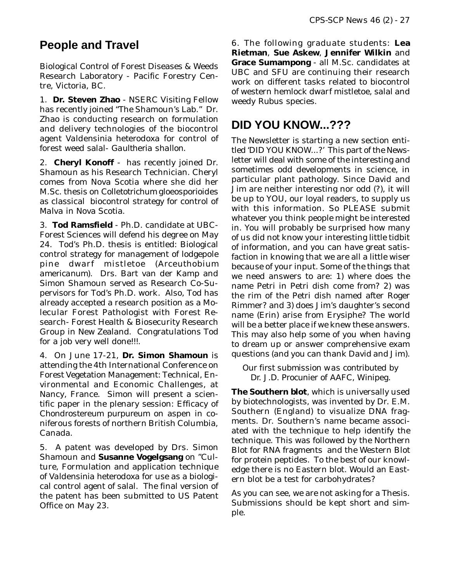# **People and Travel**

Biological Control of Forest Diseases & Weeds Research Laboratory - Pacific Forestry Centre, Victoria, BC.

1. **Dr. Steven Zhao** - NSERC Visiting Fellow has recently joined "The Shamoun's Lab." Dr. Zhao is conducting research on formulation and delivery technologies of the biocontrol agent *Valdensinia heterodoxa* for control of forest weed salal- *Gaultheria shallon*.

2. **Cheryl Konoff** - has recently joined Dr. Shamoun as his Research Technician. Cheryl comes from Nova Scotia where she did her M.Sc. thesis on *Colletotrichum gloeosporioides* as classical biocontrol strategy for control of *Malva* in Nova Scotia.

3. **Tod Ramsfield** - Ph.D. candidate at UBC-Forest Sciences will defend his degree on May 24. Tod's Ph.D. thesis is entitled: Biological control strategy for management of lodgepole pine dwarf mistletoe (*Arceuthobium americanum*). Drs. Bart van der Kamp and Simon Shamoun served as Research Co-Supervisors for Tod's Ph.D. work. Also, Tod has already accepted a research position as a Molecular Forest Pathologist with Forest Research- Forest Health & Biosecurity Research Group in New Zealand. Congratulations Tod for a job very well done!!!.

4. On June 17-21, **Dr. Simon Shamoun** is attending the 4th International Conference on Forest Vegetation Management: Technical, Environmental and Economic Challenges, at Nancy, France. Simon will present a scientific paper in the plenary session: Efficacy of *Chondrostereum purpureum* on aspen in coniferous forests of northern British Columbia, Canada.

5. A patent was developed by Drs. Simon Shamoun and **Susanne Vogelgsang** on "Culture, Formulation and application technique of *Valdensinia heterodoxa* for use as a biological control agent of salal. The final version of the patent has been submitted to US Patent Office on May 23.

6. The following graduate students: **Lea Rietman**, **Sue Askew**, **Jennifer Wilkin** and **Grace Sumampong** - all M.Sc. candidates at UBC and SFU are continuing their research work on different tasks related to biocontrol of western hemlock dwarf mistletoe, salal and weedy *Rubus* species.

# **DID YOU KNOW...???**

The Newsletter is starting a new section entitled 'DID YOU KNOW...?' This part of the Newsletter will deal with some of the interesting and sometimes odd developments in science, in particular plant pathology. Since David and Jim are neither interesting nor odd (?), it will be up to YOU, our loyal readers, to supply us with this information. So PLEASE submit whatever you think people might be interested in. You will probably be surprised how many of us did not know your interesting little tidbit of information, and you can have great satisfaction in knowing that we are all a little wiser because of your input. Some of the things that we need answers to are: 1) where does the name Petri in Petri dish come from? 2) was the rim of the Petri dish named after Roger Rimmer? and 3) does Jim's daughter's second name (Erin) arise from Erysiphe? The world will be a better place if we knew these answers. This may also help some of you when having to dream up or answer comprehensive exam questions (and you can thank David and Jim).

*Our first submission was contributed by Dr. J.D. Procunier of AAFC, Winipeg.*

**The Southern blot**, which is universally used by biotechnologists, was invented by Dr. E.M. Southern (England) to visualize DNA fragments. Dr. Southern's name became associated with the technique to help identify the technique. This was followed by the Northern Blot for RNA fragments and the Western Blot for protein peptides. To the best of our knowledge there is no Eastern blot. Would an Eastern blot be a test for carbohydrates?

As you can see, we are not asking for a Thesis. Submissions should be kept short and simple.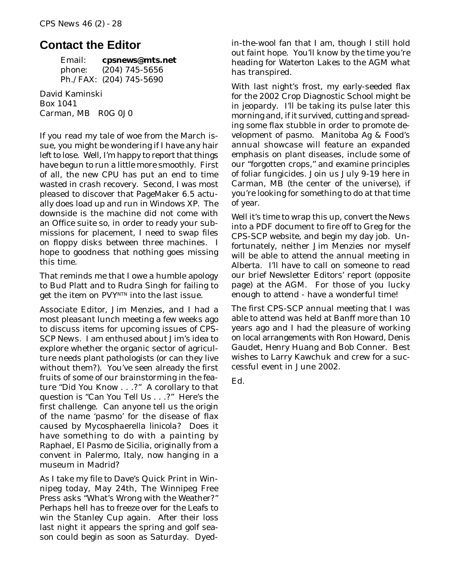### **Contact the Editor**

Email: **cpsnews@mts.net** phone: (204) 745-5656 Ph./FAX: (204) 745-5690

David Kaminski Box 1041 Carman, MB R0G 0J0

If you read my tale of woe from the March issue, you might be wondering if I have any hair left to lose. Well, I'm happy to report that things have begun to run a little more smoothly. First of all, the new CPU has put an end to time wasted in crash recovery. Second, I was most pleased to discover that PageMaker 6.5 actually *does* load up and run in Windows XP. The downside is the machine did not come with an Office suite so, in order to ready your submissions for placement, I need to swap files on floppy disks between three machines. I hope to goodness that nothing goes missing this time.

That reminds me that I owe a humble apology to Bud Platt and to Rudra Singh for failing to get the item on PVY<sup>NTN</sup> into the last issue.

Associate Editor, Jim Menzies, and I had a most pleasant lunch meeting a few weeks ago to discuss items for upcoming issues of *CPS-SCP News*. I am enthused about Jim's idea to explore whether the organic sector of agriculture needs plant pathologists (or can they live without them?). You've seen already the first fruits of some of our brainstorming in the feature "Did You Know . . .?" A corollary to that question is "Can You Tell Us . . .?" Here's the first challenge. Can anyone tell us the origin of the name 'pasmo' for the disease of flax caused by *Mycosphaerella linicola*? Does it have something to do with a painting by Raphael, *El Pasmo de Sicilia,* originally from a convent in Palermo, Italy, now hanging in a museum in Madrid?

As I take my file to Dave's Quick Print in Winnipeg today, May 24th, The *Winnipeg Free Press* asks "What's Wrong with the Weather?" Perhaps hell has to freeze over for the Leafs to win the Stanley Cup again. After their loss last night it appears the spring and golf season could begin as soon as Saturday. Dyedin-the-wool fan that I am, though I still hold out faint hope. You'll know by the time you're heading for Waterton Lakes to the AGM what has transpired.

With last night's frost, my early-seeded flax for the 2002 Crop Diagnostic School might be in jeopardy. I'll be taking its pulse later this morning and, if it survived, cutting and spreading some flax stubble in order to promote development of pasmo. Manitoba Ag & Food's annual showcase will feature an expanded emphasis on plant diseases, include some of our "forgotten crops," and examine principles of foliar fungicides. Join us July 9-19 here in Carman, MB (the center of the universe), if you're looking for something to do at that time of year.

Well it's time to wrap this up, convert *the News* into a PDF document to fire off to Greg for the CPS-SCP website, and begin my day job. Unfortunately, neither Jim Menzies nor myself will be able to attend the annual meeting in Alberta. I'll have to call on someone to read our brief Newsletter Editors' report (opposite page) at the AGM. For those of you lucky enough to attend - have a wonderful time!

The first CPS-SCP annual meeting that I was able to attend was held at Banff more than 10 years ago and I had the pleasure of working on local arrangements with Ron Howard, Denis Gaudet, Henry Huang and Bob Conner. Best wishes to Larry Kawchuk and crew for a successful event in June 2002.

Ed.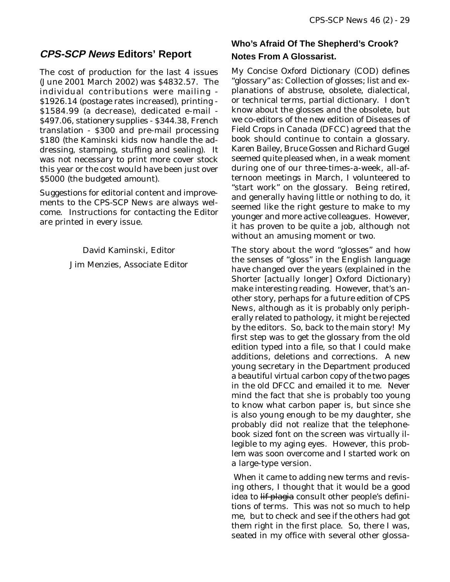### **CPS-SCP News Editors' Report**

The cost of production for the last 4 issues (June 2001 March 2002) was \$4832.57. The individual contributions were mailing - \$1926.14 (postage rates increased), printing - \$1584.99 (a decrease), dedicated e-mail - \$497.06, stationery supplies - \$344.38, French translation - \$300 and pre-mail processing \$180 (the Kaminski kids now handle the addressing, stamping, stuffing and sealing). It was not necessary to print more cover stock this year or the cost would have been just over \$5000 (the budgeted amount).

Suggestions for editorial content and improvements to the *CPS-SCP News* are always welcome. Instructions for contacting the Editor are printed in every issue.

> David Kaminski, Editor Jim Menzies, Associate Editor

### **Who's Afraid Of The Shepherd's Crook? Notes From A Glossarist.**

My *Concise Oxford Dictionary* (COD) defines "glossary" as: Collection of glosses; list and explanations of abstruse, obsolete, dialectical, or technical terms, partial dictionary. I don't know about the glosses and the obsolete, but we co-editors of the new edition of *Diseases of Field Crops in Canada* (DFCC) agreed that the book should continue to contain a glossary. Karen Bailey, Bruce Gossen and Richard Gugel seemed quite pleased when, in a weak moment during one of our three-times-a-week, all-afternoon meetings in March, I volunteered to "start work" on the glossary. Being retired, and generally having little or nothing to do, it seemed like the right gesture to make to my younger and more active colleagues. However, it has proven to be quite a job, although not without an amusing moment or two.

The story about the word "glosses" and how the senses of "gloss" in the English language have changed over the years (explained in the *Shorter* [actually longer] *Oxford Dictionary*) make interesting reading. However, that's another story, perhaps for a future edition of *CPS News*, although as it is probably only peripherally related to pathology, it might be rejected by the editors. So, back to the main story! My first step was to get the glossary from the old edition typed into a file, so that I could make additions, deletions and corrections. A new young secretary in the Department produced a beautiful virtual carbon copy of the two pages in the old *DFCC* and emailed it to me. Never mind the fact that she is probably too young to know what carbon paper is, but since she is also young enough to be my daughter, she probably did not realize that the telephonebook sized font on the screen was virtually illegible to my aging eyes. However, this problem was soon overcome and I started work on a large-type version.

 When it came to adding new terms and revising others, I thought that it would be a good idea to lif plagia consult other people's definitions of terms. This was not so much to help me, but to check and see if the others had got them right in the first place. So, there I was, seated in my office with several other glossa